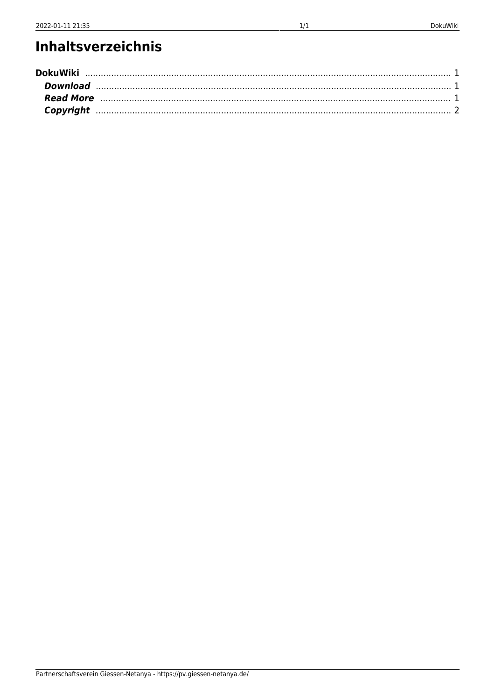## Inhaltsverzeichnis

| <b>DokuWiki</b> |  |
|-----------------|--|
| Download        |  |
| Read More       |  |
|                 |  |
|                 |  |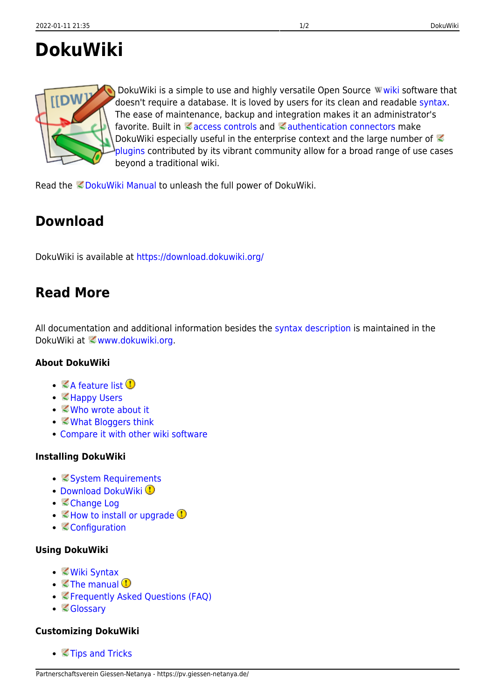# <span id="page-1-0"></span>**DokuWiki**



DokuWikiis a simple to use and highly versatile Open Source Wwiki software that doesn't require a database. It is loved by users for its clean and readable [syntax.](https://pv.giessen-netanya.de/wiki/syntax) The ease of maintenance, backup and integration makes it an administrator's favorite. Built in  $\leq$  [access controls](https://www.dokuwiki.org/acl) and  $\leq$  [authentication connectors](https://www.dokuwiki.org/auth) make DokuWiki especially useful in the enterprise context and the large number of [plugins](https://www.dokuwiki.org/plugins) contributed by its vibrant community allow for a broad range of use cases beyond a traditional wiki.

Read the CDokuWiki Manual to unleash the full power of DokuWiki.

### <span id="page-1-1"></span>**Download**

DokuWiki is available at<https://download.dokuwiki.org/>

### <span id="page-1-2"></span>**Read More**

All documentation and additional information besides the [syntax description](https://pv.giessen-netanya.de/wiki/syntax) is maintained in the DokuWiki at <www.dokuwiki.org.

#### **About DokuWiki**

- $\bullet$   $\mathbb Z$ [A feature list](https://www.dokuwiki.org/features)  $\mathbb Q$
- Mappy Users
- *<u></u>[Who wrote about it](https://www.dokuwiki.org/press)*
- ■[What Bloggers think](https://www.dokuwiki.org/blogroll)
- [Compare it with other wiki software](https://www.wikimatrix.org/show/DokuWiki)

#### **Installing DokuWiki**

- **[System Requirements](https://www.dokuwiki.org/requirements)**
- [Download DokuWiki](https://download.dokuwiki.org/) <sup>1</sup>
- [Change Log](https://www.dokuwiki.org/changes)
- $\bullet$   $\mathbb Z$  [How to install or upgrade](https://www.dokuwiki.org/Install)  $\mathbb Q$
- **[Configuration](https://www.dokuwiki.org/config)**

#### **Using DokuWiki**

- *[Wiki Syntax](https://www.dokuwiki.org/syntax)*
- $\bullet$   $\leq$  [The manual](https://www.dokuwiki.org/manual)  $\bullet$
- [Frequently Asked Questions \(FAQ\)](https://www.dokuwiki.org/FAQ)
- [Glossary](https://www.dokuwiki.org/glossary)

#### **Customizing DokuWiki**

● ■[Tips and Tricks](https://www.dokuwiki.org/tips)